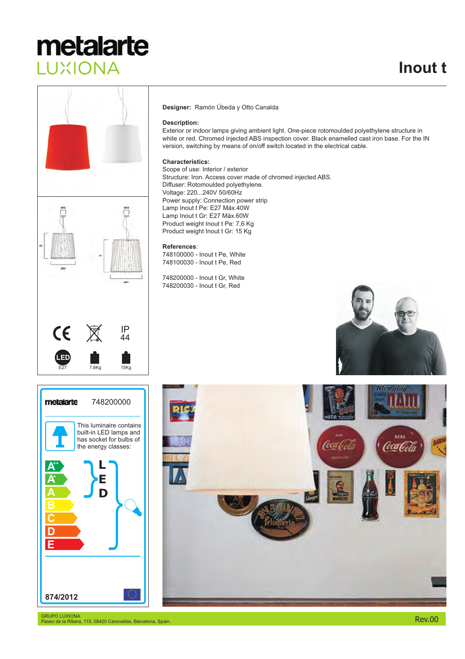## metalarte LUXIONA



### **Designer:** Ramón Úbeda y Otto Canalda

### **Description:**

Exterior or indoor lamps giving ambient light. One-piece rotomoulded polyethylene structure in white or red. Chromed injected ABS inspection cover. Black enamelled cast iron base. For the IN version, switching by means of on/off switch located in the electrical cable.

### **Characteristics:**

Scope of use: Interior / exterior Structure: Iron. Access cover made of chromed injected ABS. Diffuser: Rotomoulded polyethylene. Voltage: 220...240V 50/60Hz Power supply: Connection power strip Lamp Inout t Pe: E27 Máx.40W Lamp Inout t Gr: E27 Máx.60W Product weight Inout t Pe: 7,6 Kg Product weight Inout t Gr: 15 Kg

#### **References**:

748100000 - Inout t Pe, White 748100030 - Inout t Pe, Red

748200000 - Inout t Gr, White 748200030 - Inout t Gr, Red







GRUPO LUXIONA Paseo de la Ribera, 115, 08420 Canovellas, Barcelona, Spain.